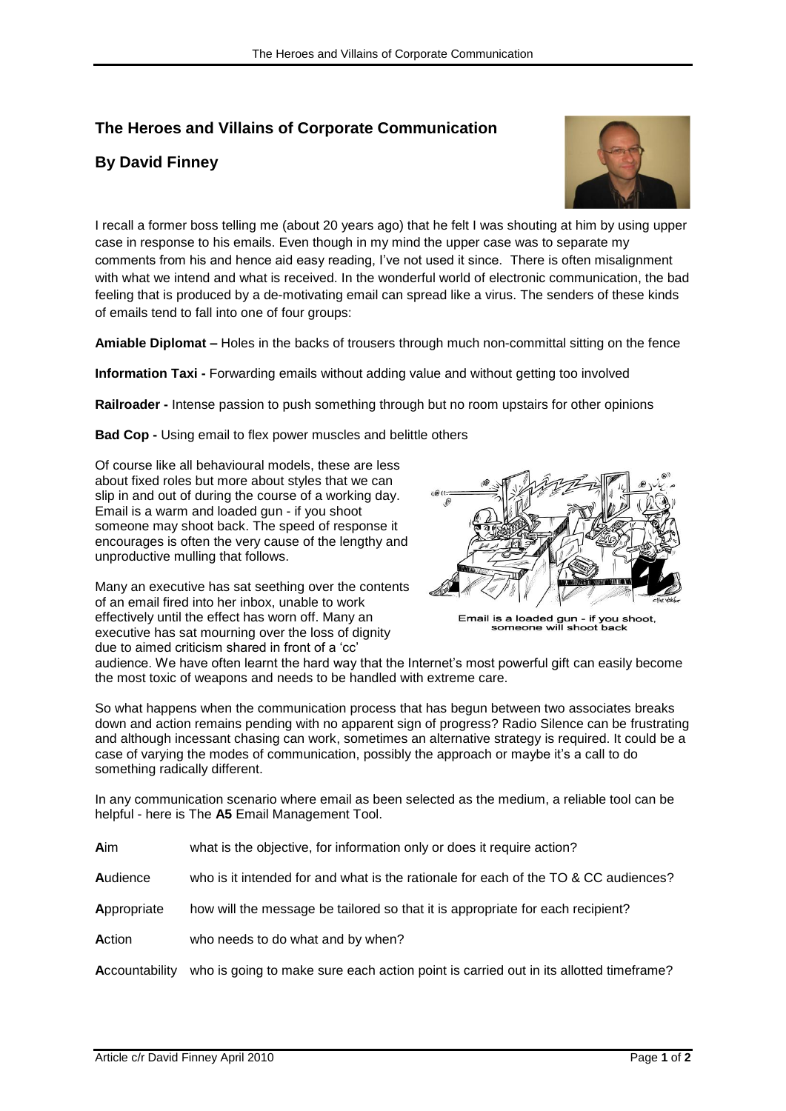## **The Heroes and Villains of Corporate Communication**

## **By David Finney**



I recall a former boss telling me (about 20 years ago) that he felt I was shouting at him by using upper case in response to his emails. Even though in my mind the upper case was to separate my comments from his and hence aid easy reading, I've not used it since. There is often misalignment with what we intend and what is received. In the wonderful world of electronic communication, the bad feeling that is produced by a de-motivating email can spread like a virus. The senders of these kinds of emails tend to fall into one of four groups:

**Amiable Diplomat –** Holes in the backs of trousers through much non-committal sitting on the fence

**Information Taxi -** Forwarding emails without adding value and without getting too involved

**Railroader -** Intense passion to push something through but no room upstairs for other opinions

**Bad Cop -** Using email to flex power muscles and belittle others

Of course like all behavioural models, these are less about fixed roles but more about styles that we can slip in and out of during the course of a working day. Email is a warm and loaded gun - if you shoot someone may shoot back. The speed of response it encourages is often the very cause of the lengthy and unproductive mulling that follows.

Many an executive has sat seething over the contents of an email fired into her inbox, unable to work effectively until the effect has worn off. Many an executive has sat mourning over the loss of dignity due to aimed criticism shared in front of a 'cc'



Email is a loaded gun - if you shoot,<br>someone will shoot back

audience. We have often learnt the hard way that the Internet's most powerful gift can easily become the most toxic of weapons and needs to be handled with extreme care.

So what happens when the communication process that has begun between two associates breaks down and action remains pending with no apparent sign of progress? Radio Silence can be frustrating and although incessant chasing can work, sometimes an alternative strategy is required. It could be a case of varying the modes of communication, possibly the approach or maybe it's a call to do something radically different.

In any communication scenario where email as been selected as the medium, a reliable tool can be helpful - here is The **A5** Email Management Tool.

| Aim<br>what is the objective, for information only or does it require action? |  |
|-------------------------------------------------------------------------------|--|
|-------------------------------------------------------------------------------|--|

**A**udience who is it intended for and what is the rationale for each of the TO & CC audiences?

- **A**ppropriate how will the message be tailored so that it is appropriate for each recipient?
- Action who needs to do what and by when?

**A**ccountability who is going to make sure each action point is carried out in its allotted timeframe?